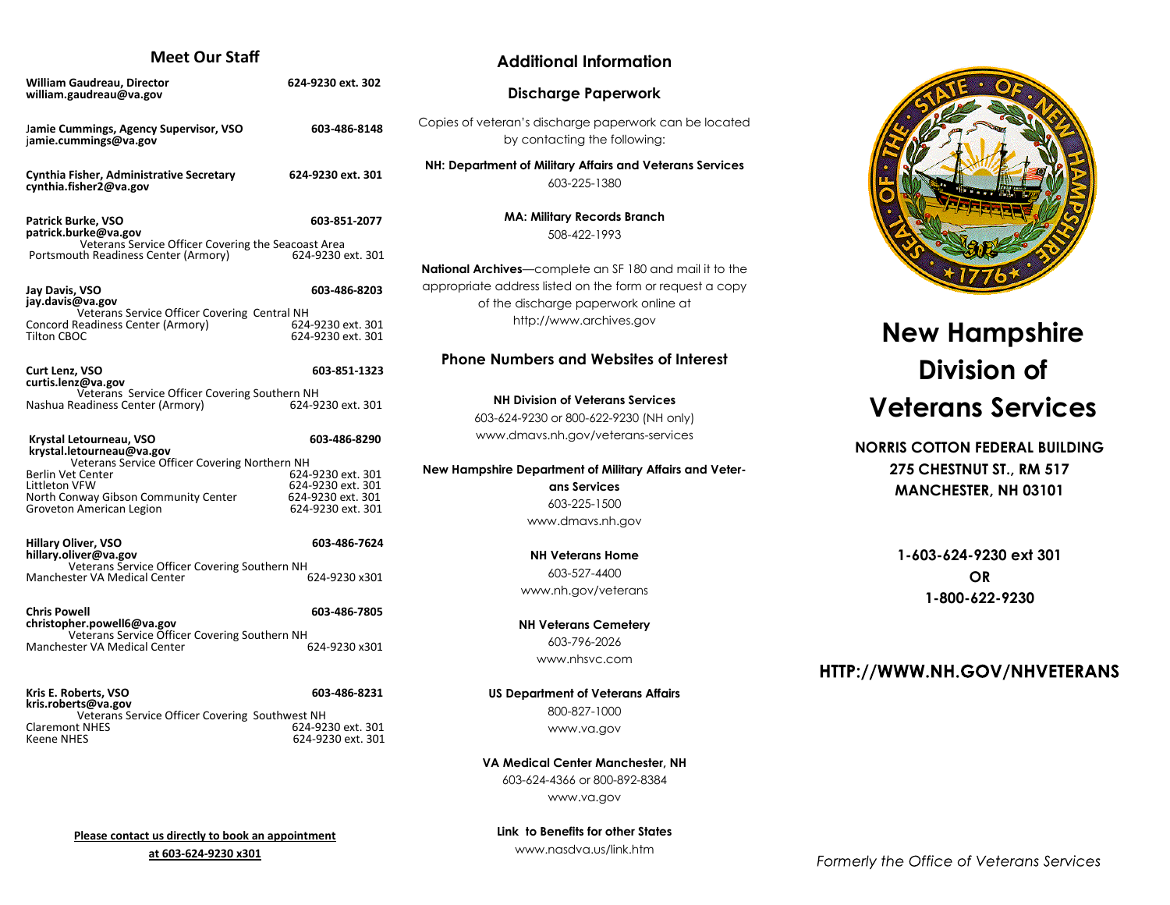## **Meet Our Staff**

| <b>William Gaudreau, Director</b><br>william.gaudreau@va.gov                                            | 624-9230 ext. 302                         |
|---------------------------------------------------------------------------------------------------------|-------------------------------------------|
| Jamie Cummings, Agency Supervisor, VSO<br>jamie.cummings@va.gov                                         | 603-486-8148                              |
| Cynthia Fisher, Administrative Secretary<br>cynthia.fisher2@va.gov                                      | 624-9230 ext. 301                         |
| Patrick Burke, VSO<br>patrick.burke@va.gov<br>Veterans Service Officer Covering the Seacoast Area       | 603-851-2077                              |
| Portsmouth Readiness Center (Armory)                                                                    | 624-9230 ext. 301                         |
| Jay Davis, VSO<br>jay.davis@va.gov                                                                      | 603-486-8203                              |
| Veterans Service Officer Covering Central NH<br>Concord Readiness Center (Armory)<br><b>Tilton CBOC</b> | 624-9230 ext. 301<br>624-9230 ext. 301    |
| Curt Lenz, VSO<br>curtis.lenz@va.gov                                                                    | 603-851-1323                              |
| Veterans Service Officer Covering Southern NH<br>Nashua Readiness Center (Armory)                       | 624-9230 ext. 301                         |
| Krystal Letourneau, VSO<br>krystal.letourneau@va.gov                                                    | 603-486-8290                              |
| Veterans Service Officer Covering Northern NH<br>Berlin Vet Center                                      | 624-9230 ext. 301                         |
| Littleton VFW                                                                                           | 624-9230 ext. 301                         |
| North Conway Gibson Community Center<br>Groveton American Legion                                        | 624-9230 ext. 301<br>624-9230 ext. 301    |
| <b>Hillary Oliver, VSO</b><br>hillary.oliver@va.gov                                                     | 603-486-7624                              |
| Veterans Service Officer Covering Southern NH<br>Manchester VA Medical Center                           | 624-9230 x301                             |
| <b>Chris Powell</b><br>christopher.powell6@va.gov                                                       | 603-486-7805                              |
| Veterans Service Officer Covering Southern NH<br>Manchester VA Medical Center                           | 624-9230 x301                             |
| Kris E. Roberts, VSO<br>kris.roberts@va.gov                                                             | 603-486-8231                              |
| Veterans Service Officer Covering Southwest NH                                                          |                                           |
| <b>Claremont NHES</b><br>Koono NHFS                                                                     | 624-9230 ext. 301<br>$624-9230$ ext $301$ |

## **Additional Information**

### **Discharge Paperwork**

Copies of veteran's discharge paperwork can be located by contacting the following:

**NH: Department of Military Affairs and Veterans Services** 603-225-1380

> **MA: Military Records Branch** 508-422-1993

**National Archives**—complete an SF 180 and mail it to the appropriate address listed on the form or request a copy of the discharge paperwork online at http://www.archives.gov

#### **Phone Numbers and Websites of Interest**

**NH Division of Veterans Services** 603-624-9230 or 800-622-9230 (NH only) www.dmavs.nh.gov/veterans-services

#### **New Hampshire Department of Military Affairs and Veter-**

**ans Services**  603-225-1500 www.dmavs.nh.gov

**NH Veterans Home** 603-527-4400 www.nh.gov/veterans

**NH Veterans Cemetery**  603-796-2026 www.nhsvc.com

**US Department of Veterans Affairs** 800-827-1000 www.va.gov

**VA Medical Center Manchester, NH** 603-624-4366 or 800-892-8384 www.va.gov

**Please contact us directly to book an appointment at 603-624-9230 x301**

624-9230 ext. 301

**Link to Benefits for other States** www.nasdva.us/link.htm



# **New Hampshire Division of Veterans Services**

## **NORRIS COTTON FEDERAL BUILDING 275 CHESTNUT ST., RM 517 MANCHESTER, NH 03101**

**1-603-624-9230 ext 301 OR 1-800-622-9230**

## HTTP://WWW.NH.GOV/NHVETERANS